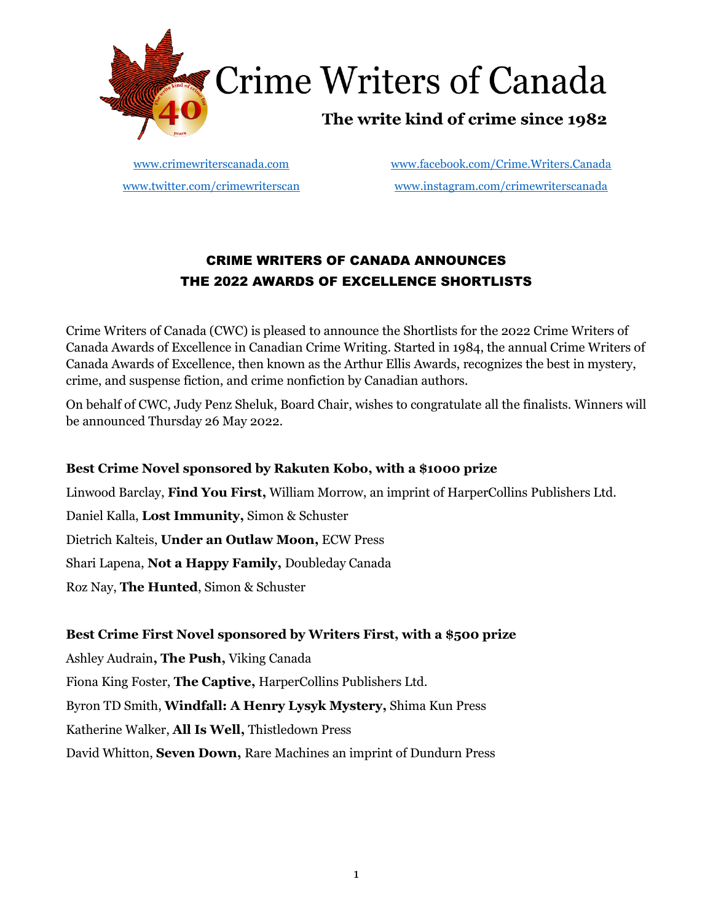

[www.crimewriterscanada.com](http://www.crimewriterscanada.com/) [www.facebook.com/Crime.Writers.Canada](about:blank) [www.twitter.com/crimewriterscan](about:blank) [www.instagram.com/crimewriterscanada](about:blank)

# CRIME WRITERS OF CANADA ANNOUNCES THE 2022 AWARDS OF EXCELLENCE SHORTLISTS

Crime Writers of Canada (CWC) is pleased to announce the Shortlists for the 2022 Crime Writers of Canada Awards of Excellence in Canadian Crime Writing. Started in 1984, the annual Crime Writers of Canada Awards of Excellence, then known as the Arthur Ellis Awards, recognizes the best in mystery, crime, and suspense fiction, and crime nonfiction by Canadian authors.

On behalf of CWC, Judy Penz Sheluk, Board Chair, wishes to congratulate all the finalists. Winners will be announced Thursday 26 May 2022.

### **Best Crime Novel sponsored by Rakuten Kobo, with a \$1000 prize**

Linwood Barclay, **Find You First,** William Morrow, an imprint of HarperCollins Publishers Ltd. Daniel Kalla, **Lost Immunity,** Simon & Schuster Dietrich Kalteis, **Under an Outlaw Moon,** ECW Press Shari Lapena, **Not a Happy Family,** Doubleday Canada Roz Nay, **The Hunted**, Simon & Schuster

### **Best Crime First Novel sponsored by Writers First, with a \$500 prize**

Ashley Audrain**, The Push,** Viking Canada Fiona King Foster, **The Captive,** HarperCollins Publishers Ltd. Byron TD Smith, **Windfall: A Henry Lysyk Mystery,** Shima Kun Press Katherine Walker, **All Is Well,** Thistledown Press David Whitton, **Seven Down,** Rare Machines an imprint of Dundurn Press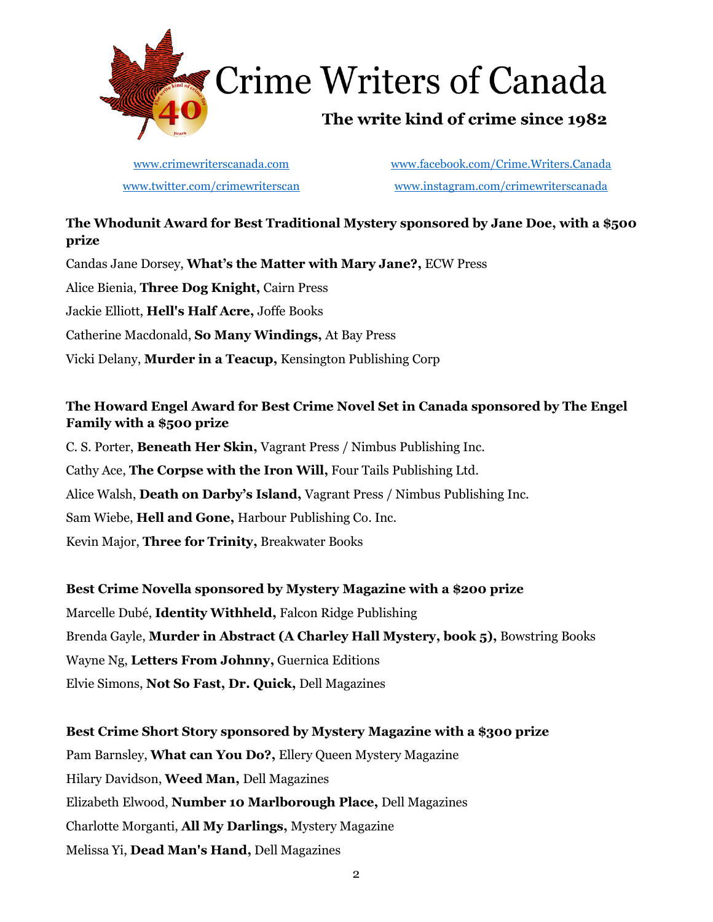

**Crime Writers of Canada** 

# The write kind of crime since 1982

[www.crimewriterscanada.com](http://www.crimewriterscanada.com/) [www.facebook.com/Crime.Writers.Canada](about:blank) [www.twitter.com/crimewriterscan](about:blank) [www.instagram.com/crimewriterscanada](about:blank)

## **The Whodunit Award for Best Traditional Mystery sponsored by Jane Doe, with a \$500 prize**

Candas Jane Dorsey, **What's the Matter with Mary Jane?,** ECW Press Alice Bienia, **Three Dog Knight,** Cairn Press Jackie Elliott, **Hell's Half Acre,** Joffe Books Catherine Macdonald, **So Many Windings,** At Bay Press Vicki Delany, **Murder in a Teacup,** Kensington Publishing Corp

## **The Howard Engel Award for Best Crime Novel Set in Canada sponsored by The Engel Family with a \$500 prize**

C. S. Porter, **Beneath Her Skin,** Vagrant Press / Nimbus Publishing Inc. Cathy Ace, **The Corpse with the Iron Will,** Four Tails Publishing Ltd. Alice Walsh, **Death on Darby's Island,** Vagrant Press / Nimbus Publishing Inc. Sam Wiebe, **Hell and Gone,** Harbour Publishing Co. Inc. Kevin Major, **Three for Trinity,** Breakwater Books

### **Best Crime Novella sponsored by Mystery Magazine with a \$200 prize**

Marcelle Dubé, **Identity Withheld,** Falcon Ridge Publishing Brenda Gayle, **Murder in Abstract (A Charley Hall Mystery, book 5),** Bowstring Books Wayne Ng, **Letters From Johnny,** Guernica Editions Elvie Simons, **Not So Fast, Dr. Quick,** Dell Magazines

# **Best Crime Short Story sponsored by Mystery Magazine with a \$300 prize**

Pam Barnsley, **What can You Do?,** Ellery Queen Mystery Magazine Hilary Davidson, **Weed Man,** Dell Magazines Elizabeth Elwood, **Number 10 Marlborough Place,** Dell Magazines Charlotte Morganti, **All My Darlings,** Mystery Magazine Melissa Yi, **Dead Man's Hand,** Dell Magazines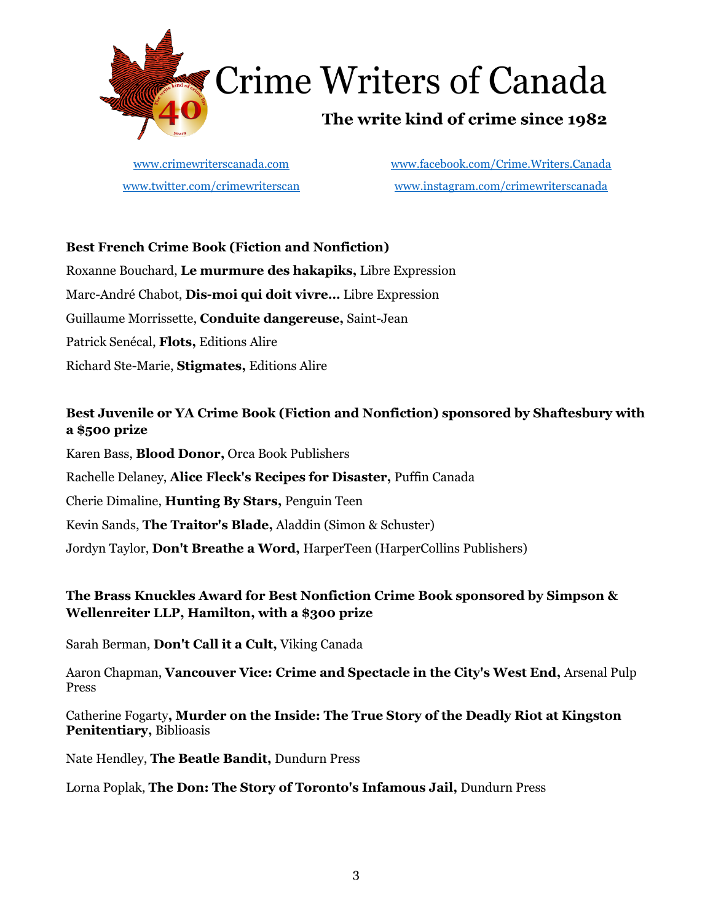

# **Crime Writers of Canada**

# The write kind of crime since 1982

[www.crimewriterscanada.com](http://www.crimewriterscanada.com/) [www.facebook.com/Crime.Writers.Canada](about:blank) [www.twitter.com/crimewriterscan](about:blank) [www.instagram.com/crimewriterscanada](about:blank)

### **Best French Crime Book (Fiction and Nonfiction)**

Roxanne Bouchard, **Le murmure des hakapiks,** Libre Expression Marc-André Chabot, **Dis-moi qui doit vivre…** Libre Expression Guillaume Morrissette, **Conduite dangereuse,** Saint-Jean Patrick Senécal, **Flots,** Editions Alire Richard Ste-Marie, **Stigmates,** Editions Alire

### **Best Juvenile or YA Crime Book (Fiction and Nonfiction) sponsored by Shaftesbury with a \$500 prize**

Karen Bass, **Blood Donor,** Orca Book Publishers Rachelle Delaney, **Alice Fleck's Recipes for Disaster,** Puffin Canada Cherie Dimaline, **Hunting By Stars,** Penguin Teen Kevin Sands, **The Traitor's Blade,** Aladdin (Simon & Schuster) Jordyn Taylor, **Don't Breathe a Word,** HarperTeen (HarperCollins Publishers)

### **The Brass Knuckles Award for Best Nonfiction Crime Book sponsored by Simpson & Wellenreiter LLP, Hamilton, with a \$300 prize**

Sarah Berman, **Don't Call it a Cult,** Viking Canada

Aaron Chapman, **Vancouver Vice: Crime and Spectacle in the City's West End,** Arsenal Pulp Press

Catherine Fogarty**, Murder on the Inside: The True Story of the Deadly Riot at Kingston Penitentiary,** Biblioasis

Nate Hendley, **The Beatle Bandit,** Dundurn Press

Lorna Poplak, **The Don: The Story of Toronto's Infamous Jail,** Dundurn Press